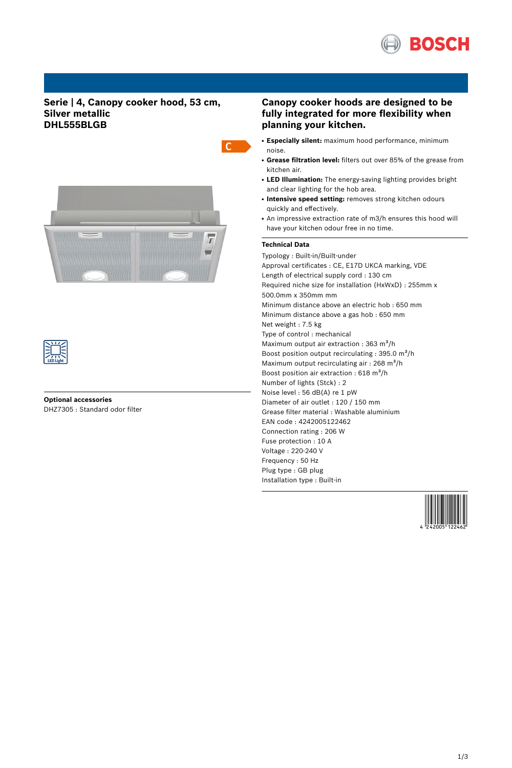

# **Serie | 4, Canopy cooker hood, 53 cm, Silver metallic DHL555BLGB**





# **Optional accessories** DHZ7305 : Standard odor filter

# **Canopy cooker hoods are designed to be fully integrated for more flexibility when planning your kitchen.**

- **Especially silent:** maximum hood performance, minimum noise.
- **Grease filtration level:** filters out over 85% of the grease from kitchen air.
- LED Illumination: The energy-saving lighting provides bright and clear lighting for the hob area.
- **Intensive speed setting:** removes strong kitchen odours quickly and effectively.
- An impressive extraction rate of m3/h ensures this hood will have your kitchen odour free in no time.

## **Technical Data**

 $\mathsf{C}$ 

Typology : Built-in/Built-under Approval certificates : CE, E17D UKCA marking, VDE Length of electrical supply cord : 130 cm Required niche size for installation (HxWxD) : 255mm x 500.0mm x 350mm mm Minimum distance above an electric hob : 650 mm Minimum distance above a gas hob : 650 mm Net weight : 7.5 kg Type of control : mechanical Maximum output air extraction :  $363 \text{ m}^3$ /h Boost position output recirculating :  $395.0 \text{ m}^3/\text{h}$ Maximum output recirculating air :  $268 \text{ m}^3\text{/h}$ Boost position air extraction :  $618 \text{ m}^3\text{/h}$ Number of lights (Stck) : 2 Noise level : 56 dB(A) re 1 pW Diameter of air outlet : 120 / 150 mm Grease filter material : Washable aluminium EAN code : 4242005122462 Connection rating : 206 W Fuse protection : 10 A Voltage : 220-240 V Frequency : 50 Hz Plug type : GB plug Installation type : Built-in

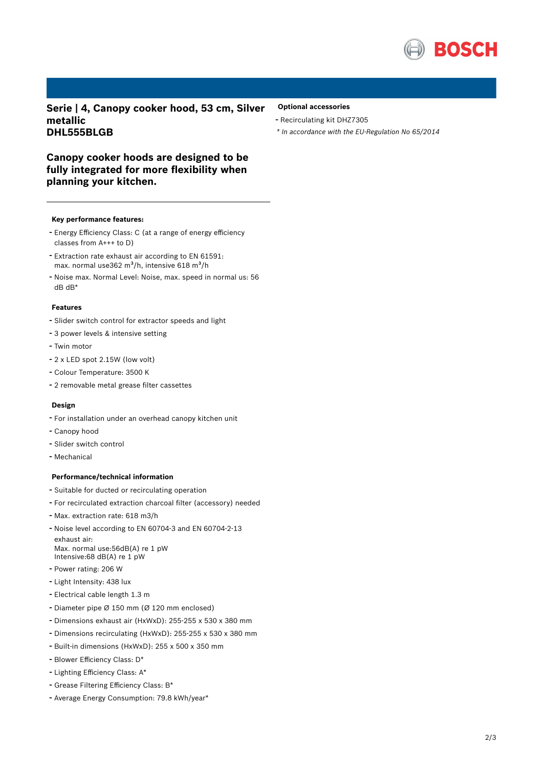

**Serie | 4, Canopy cooker hood, 53 cm, Silver metallic DHL555BLGB**

## **Optional accessories**

- Recirculating kit DHZ7305
- *\* In accordance with the EU-Regulation No 65/2014*

**Canopy cooker hoods are designed to be fully integrated for more flexibility when planning your kitchen.**

#### **Key performance features:**

- Energy Efficiency Class: <sup>C</sup> (at <sup>a</sup> range of energy efficiency classes from A+++ to D)
- Extraction rate exhaust air according to EN 61591: max. normal use362 m $3/h$ , intensive 618 m $3/h$
- Noise max. Normal Level: Noise, max. speed in normal us: <sup>56</sup> dB dB\*

## **Features**

- Slider switch control for extractor speeds and light
- <sup>3</sup> power levels & intensive setting
- Twin motor
- <sup>2</sup> <sup>x</sup> LED spot 2.15W (low volt)
- Colour Temperature: <sup>3500</sup> <sup>K</sup>
- <sup>2</sup> removable metal grease filter cassettes

#### **Design**

- For installation under an overhead canopy kitchen unit
- Canopy hood
- Slider switch control
- Mechanical

### **Performance/technical information**

- Suitable for ducted or recirculating operation
- For recirculated extraction charcoal filter (accessory) needed
- Max. extraction rate: <sup>618</sup> m3/h
- Noise level according to EN 60704-3 and EN 60704-2-13 exhaust air: Max. normal use:56dB(A) re 1 pW Intensive:68 dB(A) re 1 pW
- Power rating: <sup>206</sup> <sup>W</sup>
- Light Intensity: <sup>438</sup> lux
- Electrical cable length 1.3 <sup>m</sup>
- Diameter pipe <sup>Ø</sup> <sup>150</sup> mm (Ø <sup>120</sup> mm enclosed)
- Dimensions exhaust air (HxWxD): 255-255 <sup>x</sup> <sup>530</sup> <sup>x</sup> <sup>380</sup> mm
- Dimensions recirculating (HxWxD): 255-255 <sup>x</sup> <sup>530</sup> <sup>x</sup> <sup>380</sup> mm
- Built-in dimensions (HxWxD): 255 x 500 x 350 mm
- Blower Efficiency Class: D\*
- Lighting Efficiency Class: A\*
- Grease Filtering Efficiency Class: B\*
- Average Energy Consumption: 79.8 kWh/year\*